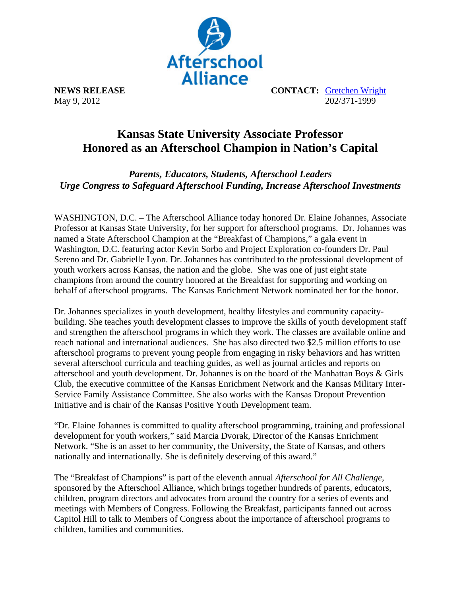

**NEWS RELEASE CONTACT:** Gretchen Wright May 9, 2012 202/371-1999

## **Kansas State University Associate Professor Honored as an Afterschool Champion in Nation's Capital**

*Parents, Educators, Students, Afterschool Leaders Urge Congress to Safeguard Afterschool Funding, Increase Afterschool Investments* 

WASHINGTON, D.C. – The Afterschool Alliance today honored Dr. Elaine Johannes, Associate Professor at Kansas State University, for her support for afterschool programs. Dr. Johannes was named a State Afterschool Champion at the "Breakfast of Champions," a gala event in Washington, D.C. featuring actor Kevin Sorbo and Project Exploration co-founders Dr. Paul Sereno and Dr. Gabrielle Lyon. Dr. Johannes has contributed to the professional development of youth workers across Kansas, the nation and the globe. She was one of just eight state champions from around the country honored at the Breakfast for supporting and working on behalf of afterschool programs. The Kansas Enrichment Network nominated her for the honor.

Dr. Johannes specializes in youth development, healthy lifestyles and community capacitybuilding. She teaches youth development classes to improve the skills of youth development staff and strengthen the afterschool programs in which they work. The classes are available online and reach national and international audiences. She has also directed two \$2.5 million efforts to use afterschool programs to prevent young people from engaging in risky behaviors and has written several afterschool curricula and teaching guides, as well as journal articles and reports on afterschool and youth development. Dr. Johannes is on the board of the Manhattan Boys & Girls Club, the executive committee of the Kansas Enrichment Network and the Kansas Military Inter-Service Family Assistance Committee. She also works with the Kansas Dropout Prevention Initiative and is chair of the Kansas Positive Youth Development team.

"Dr. Elaine Johannes is committed to quality afterschool programming, training and professional development for youth workers," said Marcia Dvorak, Director of the Kansas Enrichment Network. "She is an asset to her community, the University, the State of Kansas, and others nationally and internationally. She is definitely deserving of this award."

The "Breakfast of Champions" is part of the eleventh annual *Afterschool for All Challenge,* sponsored by the Afterschool Alliance, which brings together hundreds of parents, educators, children, program directors and advocates from around the country for a series of events and meetings with Members of Congress. Following the Breakfast, participants fanned out across Capitol Hill to talk to Members of Congress about the importance of afterschool programs to children, families and communities.